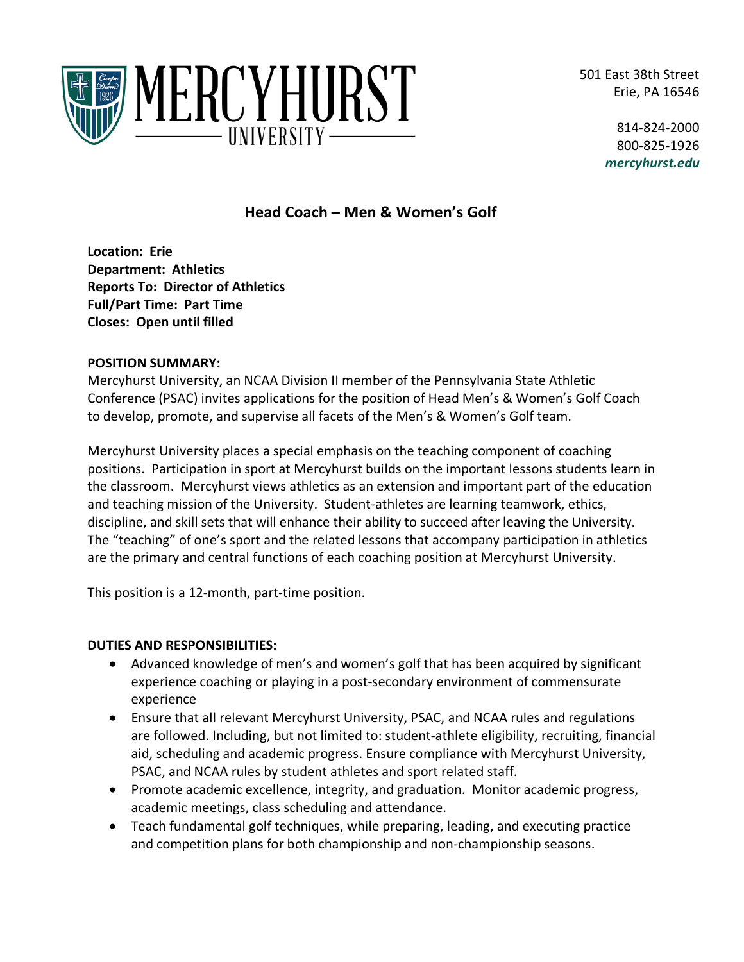501 East 38th Street Erie, PA 16546



814-824-2000 800-825-1926 *mercyhurst.edu*

# **Head Coach – Men & Women's Golf**

**Location: Erie Department: Athletics Reports To: Director of Athletics Full/Part Time: Part Time Closes: Open until filled**

### **POSITION SUMMARY:**

Mercyhurst University, an NCAA Division II member of the Pennsylvania State Athletic Conference (PSAC) invites applications for the position of Head Men's & Women's Golf Coach to develop, promote, and supervise all facets of the Men's & Women's Golf team.

Mercyhurst University places a special emphasis on the teaching component of coaching positions. Participation in sport at Mercyhurst builds on the important lessons students learn in the classroom. Mercyhurst views athletics as an extension and important part of the education and teaching mission of the University. Student-athletes are learning teamwork, ethics, discipline, and skill sets that will enhance their ability to succeed after leaving the University. The "teaching" of one's sport and the related lessons that accompany participation in athletics are the primary and central functions of each coaching position at Mercyhurst University.

This position is a 12-month, part-time position.

## **DUTIES AND RESPONSIBILITIES:**

- Advanced knowledge of men's and women's golf that has been acquired by significant experience coaching or playing in a post-secondary environment of commensurate experience
- Ensure that all relevant Mercyhurst University, PSAC, and NCAA rules and regulations are followed. Including, but not limited to: student-athlete eligibility, recruiting, financial aid, scheduling and academic progress. Ensure compliance with Mercyhurst University, PSAC, and NCAA rules by student athletes and sport related staff.
- Promote academic excellence, integrity, and graduation. Monitor academic progress, academic meetings, class scheduling and attendance.
- Teach fundamental golf techniques, while preparing, leading, and executing practice and competition plans for both championship and non-championship seasons.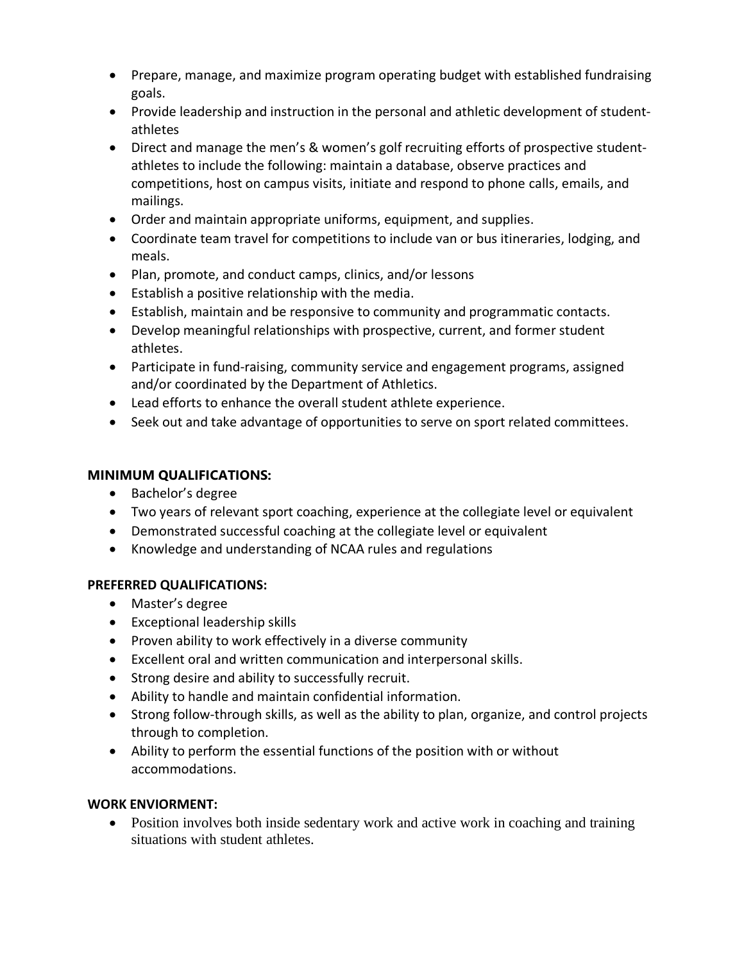- Prepare, manage, and maximize program operating budget with established fundraising goals.
- Provide leadership and instruction in the personal and athletic development of studentathletes
- Direct and manage the men's & women's golf recruiting efforts of prospective studentathletes to include the following: maintain a database, observe practices and competitions, host on campus visits, initiate and respond to phone calls, emails, and mailings.
- Order and maintain appropriate uniforms, equipment, and supplies.
- Coordinate team travel for competitions to include van or bus itineraries, lodging, and meals.
- Plan, promote, and conduct camps, clinics, and/or lessons
- Establish a positive relationship with the media.
- Establish, maintain and be responsive to community and programmatic contacts.
- Develop meaningful relationships with prospective, current, and former student athletes.
- Participate in fund-raising, community service and engagement programs, assigned and/or coordinated by the Department of Athletics.
- Lead efforts to enhance the overall student athlete experience.
- Seek out and take advantage of opportunities to serve on sport related committees.

## **MINIMUM QUALIFICATIONS:**

- Bachelor's degree
- Two years of relevant sport coaching, experience at the collegiate level or equivalent
- Demonstrated successful coaching at the collegiate level or equivalent
- Knowledge and understanding of NCAA rules and regulations

### **PREFERRED QUALIFICATIONS:**

- Master's degree
- Exceptional leadership skills
- Proven ability to work effectively in a diverse community
- Excellent oral and written communication and interpersonal skills.
- Strong desire and ability to successfully recruit.
- Ability to handle and maintain confidential information.
- Strong follow-through skills, as well as the ability to plan, organize, and control projects through to completion.
- Ability to perform the essential functions of the position with or without accommodations.

### **WORK ENVIORMENT:**

• Position involves both inside sedentary work and active work in coaching and training situations with student athletes.